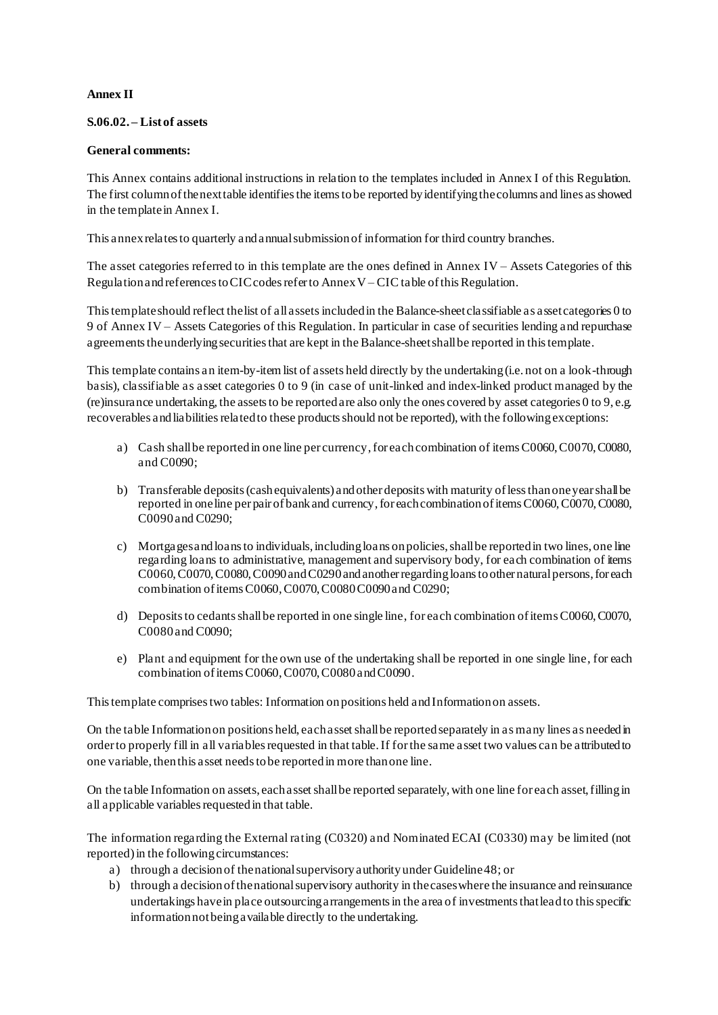### **Annex II**

### **S.06.02. – List of assets**

### **General comments:**

This Annex contains additional instructions in relation to the templates included in Annex I of this Regulation. The first column of the next table identifies the items to be reported by identifying the columns and lines as showed in the template in Annex I.

This annex relates to quarterly and annual submission of information for third country branches.

The asset categories referred to in this template are the ones defined in Annex IV – Assets Categories of this Regulation and references to CIC codes refer to Annex V – CIC table of this Regulation.

This template should reflect the list of all assets included in the Balance-sheet classifiable as asset categories 0 to 9 of Annex IV – Assets Categories of this Regulation. In particular in case of securities lending and repurchase agreements the underlying securities that are kept in the Balance-sheetshall be reported in this template.

This template contains an item-by-itemlist of assets held directly by the undertaking (i.e. not on a look-through basis), classifiable as asset categories 0 to 9 (in case of unit-linked and index-linked product managed by the (re)insurance undertaking, the assets to be reported are also only the ones covered by asset categories 0 to 9, e.g. recoverables and liabilities related to these products should not be reported), with the following exceptions:

- a) Cash shall be reported in one line per currency, for each combination of items C0060, C0070, C0080, and C0090;
- b) Transferable deposits (cash equivalents) and other deposits with maturity of less than one year shall be reported in one line per pair of bank and currency, for each combination of items C0060, C0070, C0080, C0090 and C0290;
- c) Mortgages and loans to individuals, including loans on policies, shall be reported in two lines, one line regarding loans to administrative, management and supervisory body, for each combination of items C0060, C0070, C0080, C0090 and C0290 and another regarding loans to other natural persons, for each combination of items C0060, C0070, C0080 C0090 and C0290;
- d) Depositsto cedants shall be reported in one single line, for each combination of items C0060, C0070, C0080 and C0090;
- e) Plant and equipment for the own use of the undertaking shall be reported in one single line, for each combination of items C0060, C0070, C0080 and C0090.

This template comprises two tables: Information on positions held and Information on assets.

On the table Information on positions held, each asset shall be reported separately in as many lines as needed in order to properly fill in all variables requested in that table. If for the same asset two values can be attributed to one variable, then this asset needs to be reported in more than one line.

On the table Information on assets, each asset shall be reported separately, with one line for each asset, filling in all applicable variables requested in that table.

The information regarding the External rating (C0320) and Nominated ECAI (C0330) may be limited (not reported) in the following circumstances:

- a) through a decision of the national supervisory authority under Guideline 48; or
- b) through a decision of the national supervisory authority in the cases where the insurance and reinsurance undertakings have in place outsourcing arrangements in the area of investments that lead to this specific information not being available directly to the undertaking.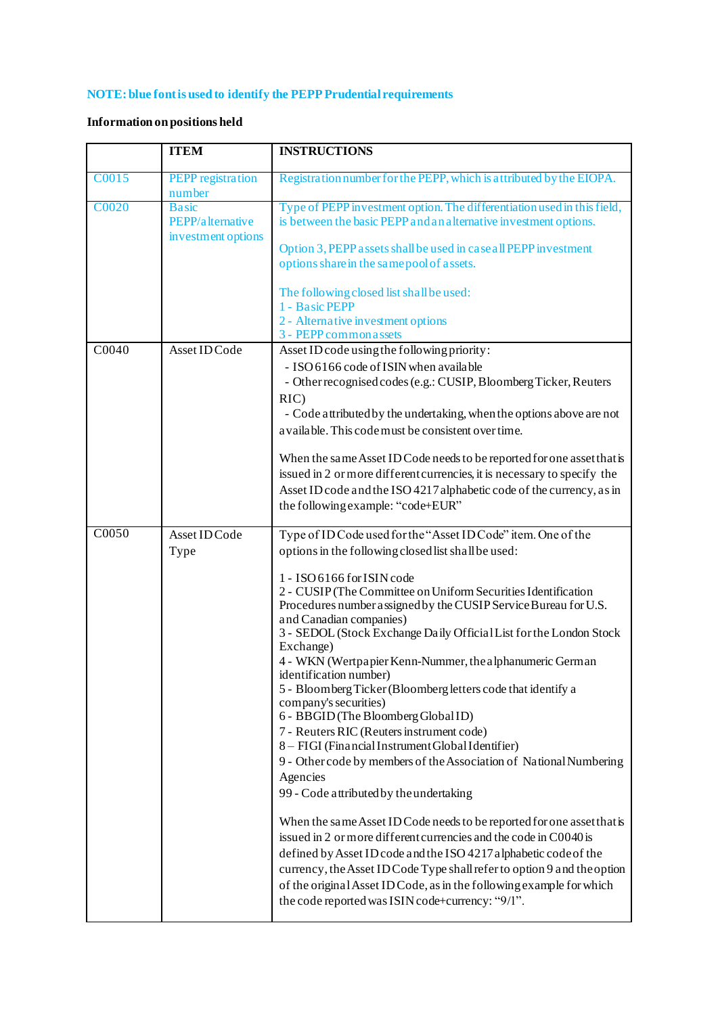# **NOTE: blue font is used to identify the PEPP Prudential requirements**

## **Information on positions held**

|                    | <b>ITEM</b>                                            | <b>INSTRUCTIONS</b>                                                                                                                                                                                                                                                                                                                                                                                                                                                                                                                                                                                                                                                                                                                                                                                                                                                                                                                                                                                                                                                                                                                                                                                                                                                                 |
|--------------------|--------------------------------------------------------|-------------------------------------------------------------------------------------------------------------------------------------------------------------------------------------------------------------------------------------------------------------------------------------------------------------------------------------------------------------------------------------------------------------------------------------------------------------------------------------------------------------------------------------------------------------------------------------------------------------------------------------------------------------------------------------------------------------------------------------------------------------------------------------------------------------------------------------------------------------------------------------------------------------------------------------------------------------------------------------------------------------------------------------------------------------------------------------------------------------------------------------------------------------------------------------------------------------------------------------------------------------------------------------|
| C0015              | <b>PEPP</b> registration<br>number                     | Registration number for the PEPP, which is attributed by the EIOPA.                                                                                                                                                                                                                                                                                                                                                                                                                                                                                                                                                                                                                                                                                                                                                                                                                                                                                                                                                                                                                                                                                                                                                                                                                 |
| <b>C0020</b>       | <b>Basic</b><br>PEPP/alternative<br>investment options | Type of PEPP investment option. The differentiation used in this field,<br>is between the basic PEPP and an alternative investment options.<br>Option 3, PEPP assets shall be used in case all PEPP investment<br>options share in the same pool of assets.                                                                                                                                                                                                                                                                                                                                                                                                                                                                                                                                                                                                                                                                                                                                                                                                                                                                                                                                                                                                                         |
|                    |                                                        | The following closed list shall be used:<br>1 - Basic PEPP<br>2 - Alternative investment options<br>3 - PEPP common assets                                                                                                                                                                                                                                                                                                                                                                                                                                                                                                                                                                                                                                                                                                                                                                                                                                                                                                                                                                                                                                                                                                                                                          |
| C0040              | Asset ID Code                                          | Asset ID code using the following priority:<br>- ISO 6166 code of ISIN when available<br>- Other recognised codes (e.g.: CUSIP, Bloomberg Ticker, Reuters<br>$RIC$ )<br>- Code attributed by the undertaking, when the options above are not<br>a vailable. This code must be consistent over time.<br>When the same Asset ID Code needs to be reported for one asset that is<br>issued in 2 or more different currencies, it is necessary to specify the<br>Asset ID code and the ISO 4217 alphabetic code of the currency, as in<br>the following example: "code+EUR"                                                                                                                                                                                                                                                                                                                                                                                                                                                                                                                                                                                                                                                                                                             |
| $\overline{C0050}$ | Asset ID Code<br>Type                                  | Type of ID Code used for the "Asset ID Code" item. One of the<br>options in the following closed list shall be used:<br>1 - ISO 6166 for ISIN code<br>2 - CUSIP (The Committee on Uniform Securities Identification<br>Procedures number assigned by the CUSIP Service Bureau for U.S.<br>and Canadian companies)<br>3 - SEDOL (Stock Exchange Daily Official List for the London Stock<br>Exchange)<br>4 - WKN (Wertpapier Kenn-Nummer, the alphanumeric German<br>identification number)<br>5 - Bloomberg Ticker (Bloomberg letters code that identify a<br>company's securities)<br>6 - BBGID (The Bloomberg Global ID)<br>7 - Reuters RIC (Reuters instrument code)<br>8 - FIGI (Financial Instrument Global Identifier)<br>9 - Other code by members of the Association of National Numbering<br>Agencies<br>99 - Code attributed by the undertaking<br>When the same Asset ID Code needs to be reported for one asset that is<br>issued in 2 or more different currencies and the code in C0040 is<br>defined by Asset ID code and the ISO 4217 alphabetic code of the<br>currency, the Asset ID Code Type shall refer to option 9 and the option<br>of the original Asset ID Code, as in the following example for which<br>the code reported was ISIN code+currency: "9/1". |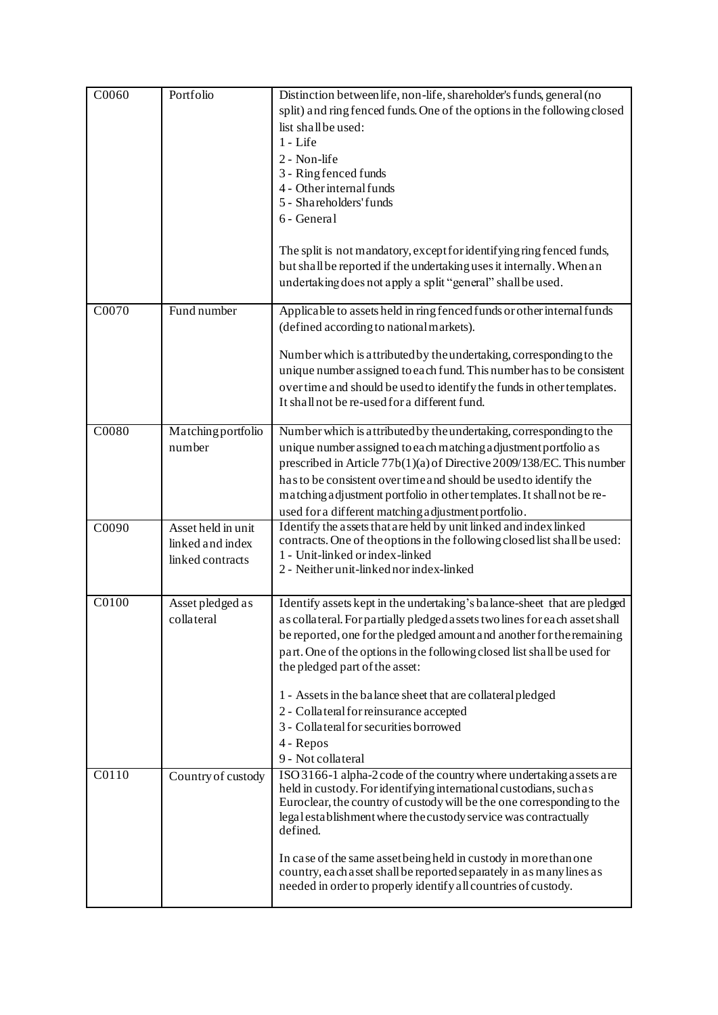| C0060              | Portfolio                                                  | Distinction between life, non-life, shareholder's funds, general (no<br>split) and ring fenced funds. One of the options in the following closed<br>list shall be used:<br>$1 - Life$<br>2 - Non-life<br>3 - Ring fenced funds<br>4 - Other internal funds<br>5 - Shareholders' funds<br>6 - General<br>The split is not mandatory, except for identifying ring fenced funds,<br>but shall be reported if the undertaking uses it internally. When an<br>undertaking does not apply a split "general" shall be used.                |
|--------------------|------------------------------------------------------------|-------------------------------------------------------------------------------------------------------------------------------------------------------------------------------------------------------------------------------------------------------------------------------------------------------------------------------------------------------------------------------------------------------------------------------------------------------------------------------------------------------------------------------------|
| C0070              | Fund number                                                | Applicable to assets held in ring fenced funds or other internal funds<br>(defined according to national markets).<br>Number which is attributed by the undertaking, corresponding to the<br>unique number assigned to each fund. This number has to be consistent<br>over time and should be used to identify the funds in other templates.<br>It shall not be re-used for a different fund.                                                                                                                                       |
| C0080              | Matching portfolio<br>number                               | Number which is attributed by the undertaking, corresponding to the<br>unique number assigned to each matching adjustment portfolio as<br>prescribed in Article 77b(1)(a) of Directive 2009/138/EC. This number<br>has to be consistent over time and should be used to identify the<br>matching adjustment portfolio in other templates. It shall not be re-<br>used for a different matching a djustment portfolio.                                                                                                               |
| C0090              | Asset held in unit<br>linked and index<br>linked contracts | Identify the assets that are held by unit linked and index linked<br>contracts. One of the options in the following closed list shall be used:<br>1 - Unit-linked or index-linked<br>2 - Neither unit-linked nor index-linked                                                                                                                                                                                                                                                                                                       |
| C0100              | Asset pledged as<br>collateral                             | Identify assets kept in the undertaking's balance-sheet that are pledged<br>as collateral. For partially pledged assets two lines for each asset shall<br>be reported, one for the pledged amount and another for the remaining<br>part. One of the options in the following closed list shall be used for<br>the pledged part of the asset:<br>1 - Assets in the balance sheet that are collateral pledged<br>2 - Collateral for reinsurance accepted<br>3 - Collateral for securities borrowed<br>4 - Repos<br>9 - Not collateral |
| $\overline{C0110}$ | Country of custody                                         | ISO 3166-1 alpha-2 code of the country where undertaking assets are<br>held in custody. For identifying international custodians, such as<br>Euroclear, the country of custody will be the one corresponding to the<br>legal establishment where the custody service was contractually<br>defined.<br>In case of the same asset being held in custody in more than one<br>country, each asset shall be reported separately in as many lines as<br>needed in order to properly identify all countries of custody.                    |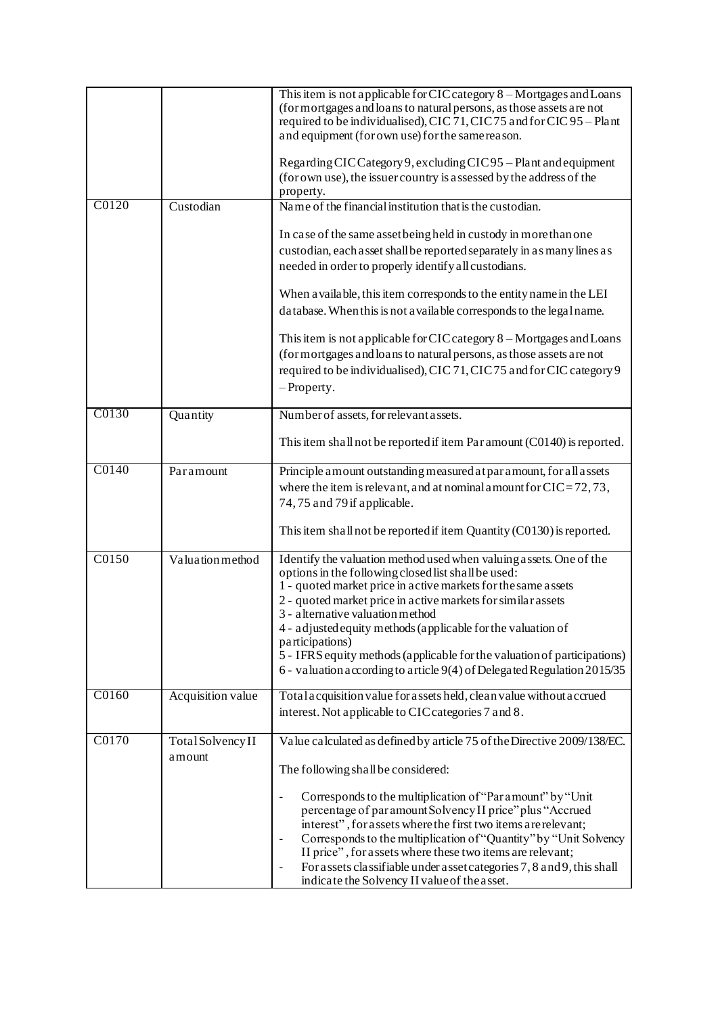|                    |                             | This item is not applicable for CIC category 8 – Mortgages and Loans<br>(for mortgages and loans to natural persons, as those assets are not<br>required to be individualised), CIC 71, CIC 75 and for CIC 95 - Plant<br>and equipment (for own use) for the same reason.<br>Regarding CIC Category 9, excluding CIC 95 - Plant and equipment<br>(for own use), the issuer country is assessed by the address of the<br>property.                                                                                                                                                                                                                        |
|--------------------|-----------------------------|----------------------------------------------------------------------------------------------------------------------------------------------------------------------------------------------------------------------------------------------------------------------------------------------------------------------------------------------------------------------------------------------------------------------------------------------------------------------------------------------------------------------------------------------------------------------------------------------------------------------------------------------------------|
| C0120              | Custodian                   | Name of the financial institution that is the custodian.<br>In case of the same asset being held in custody in more than one<br>custodian, each asset shall be reported separately in as many lines as<br>needed in order to properly identify all custodians.<br>When a vailable, this item corresponds to the entity name in the LEI<br>database. When this is not a vailable corresponds to the legal name.<br>This item is not applicable for CIC category 8 - Mortgages and Loans<br>(for mortgages and loans to natural persons, as those assets are not<br>required to be individualised), CIC 71, CIC 75 and for CIC category 9<br>$-$ Property. |
| C0130              | Quantity                    | Number of assets, for relevant assets.<br>This item shall not be reported if item Par amount (C0140) is reported.                                                                                                                                                                                                                                                                                                                                                                                                                                                                                                                                        |
|                    |                             |                                                                                                                                                                                                                                                                                                                                                                                                                                                                                                                                                                                                                                                          |
| $\overline{C0140}$ | Paramount                   | Principle amount outstanding measured at par amount, for all assets<br>where the item is relevant, and at nominal amount for $CIC = 72, 73$ ,<br>74,75 and 79 if applicable.<br>This item shall not be reported if item Quantity (C0130) is reported.                                                                                                                                                                                                                                                                                                                                                                                                    |
| C0150              | Valuation method            | Identify the valuation method used when valuing assets. One of the<br>options in the following closed list shall be used:<br>1 - quoted market price in active markets for the same assets<br>2 - quoted market price in active markets for similar assets<br>3 - alternative valuation method<br>4 - adjusted equity methods (applicable for the valuation of<br>participations)<br>5 - IFRS equity methods (applicable for the valuation of participations)<br>6 - valuation according to article 9(4) of Delegated Regulation 2015/35                                                                                                                 |
| C0160              | <b>Acquisition value</b>    | Total acquisition value for assets held, clean value without accrued<br>interest. Not applicable to CIC categories 7 and 8.                                                                                                                                                                                                                                                                                                                                                                                                                                                                                                                              |
| C0170              | Total Solvency II<br>amount | Value calculated as defined by article 75 of the Directive 2009/138/EC.<br>The following shall be considered:<br>Corresponds to the multiplication of "Par a mount" by "Unit<br>percentage of paramount Solvency II price" plus "Accrued<br>interest", for assets where the first two items are relevant;<br>Corresponds to the multiplication of "Quantity" by "Unit Solvency<br>II price", for assets where these two items are relevant;<br>For assets classifiable under asset categories 7, 8 and 9, this shall<br>indicate the Solvency II value of the asset.                                                                                     |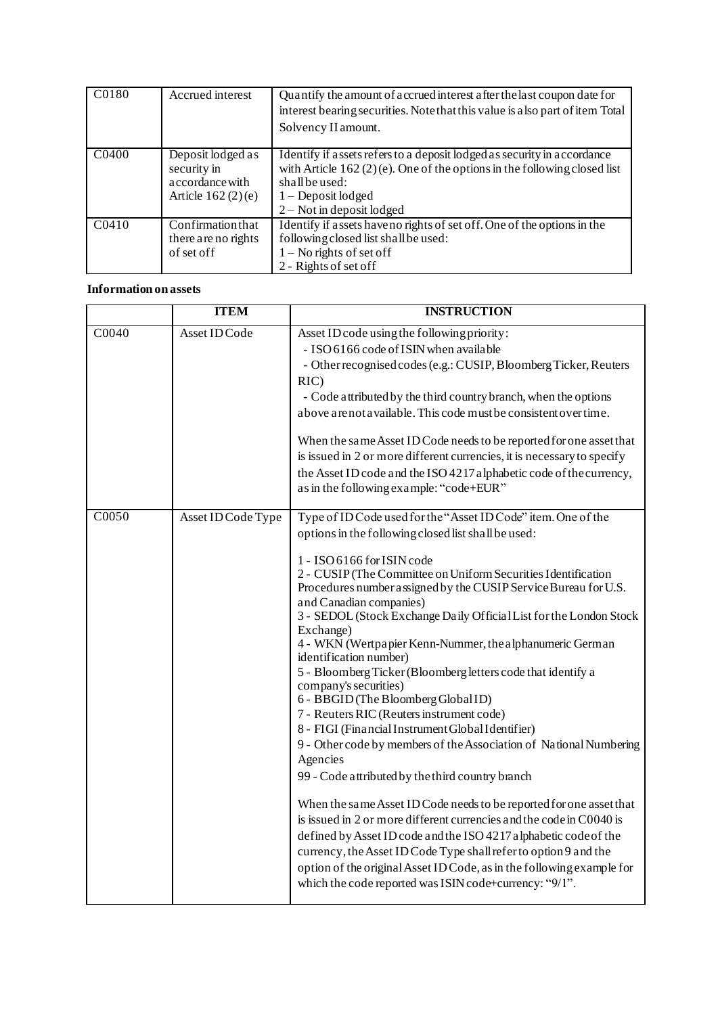| C0180              | Accrued interest                                                           | Quantify the amount of accrued interest after the last coupon date for<br>interest bearing securities. Note that this value is also part of item Total<br>Solvency II amount.                                                  |
|--------------------|----------------------------------------------------------------------------|--------------------------------------------------------------------------------------------------------------------------------------------------------------------------------------------------------------------------------|
| C <sub>04</sub> 00 | Deposit lodged as<br>security in<br>accordance with<br>Article $162(2)(e)$ | Identify if assets refers to a deposit lodged as security in accordance<br>with Article $162(2)(e)$ . One of the options in the following closed list<br>shall be used:<br>$1 -$ Deposit lodged<br>$2 - Not$ in deposit lodged |
| C <sub>0410</sub>  | Confirmation that<br>there are no rights<br>of set of f                    | Identify if assets have no rights of set off. One of the options in the<br>following closed list shall be used:<br>$1 -$ No rights of set off<br>2 - Rights of set off                                                         |

### **Information on assets**

|                    | <b>ITEM</b>        | <b>INSTRUCTION</b>                                                                                                                                                                                                                                                                                                                                                                                                                                                                                                                                                                                                                                                                                                                                                                                                                                                                                                                                                                                                                                                                                                                                                                                                                                                                           |
|--------------------|--------------------|----------------------------------------------------------------------------------------------------------------------------------------------------------------------------------------------------------------------------------------------------------------------------------------------------------------------------------------------------------------------------------------------------------------------------------------------------------------------------------------------------------------------------------------------------------------------------------------------------------------------------------------------------------------------------------------------------------------------------------------------------------------------------------------------------------------------------------------------------------------------------------------------------------------------------------------------------------------------------------------------------------------------------------------------------------------------------------------------------------------------------------------------------------------------------------------------------------------------------------------------------------------------------------------------|
| $\overline{C0040}$ | Asset ID Code      | Asset ID code using the following priority:<br>- ISO 6166 code of ISIN when available<br>- Other recognised codes (e.g.: CUSIP, Bloomberg Ticker, Reuters<br>$RIC$ )<br>- Code attributed by the third country branch, when the options<br>above are not available. This code must be consistent over time.<br>When the same Asset ID Code needs to be reported for one asset that<br>is issued in 2 or more different currencies, it is necessary to specify<br>the Asset ID code and the ISO 4217 alphabetic code of the currency,<br>as in the following example: "code+EUR"                                                                                                                                                                                                                                                                                                                                                                                                                                                                                                                                                                                                                                                                                                              |
| $\overline{C0050}$ | Asset ID Code Type | Type of ID Code used for the "Asset ID Code" item. One of the<br>options in the following closed list shall be used:<br>1 - ISO 6166 for ISIN code<br>2 - CUSIP (The Committee on Uniform Securities Identification<br>Procedures number assigned by the CUSIP Service Bureau for U.S.<br>and Canadian companies)<br>3 - SEDOL (Stock Exchange Daily Official List for the London Stock<br>Exchange)<br>4 - WKN (Wertpapier Kenn-Nummer, the alphanumeric German<br>identification number)<br>5 - Bloomberg Ticker (Bloomberg letters code that identify a<br>company's securities)<br>6 - BBGID (The Bloomberg Global ID)<br>7 - Reuters RIC (Reuters instrument code)<br>8 - FIGI (Financial Instrument Global Identifier)<br>9 - Other code by members of the Association of National Numbering<br>Agencies<br>99 - Code attributed by the third country branch<br>When the same Asset ID Code needs to be reported for one asset that<br>is issued in 2 or more different currencies and the code in C0040 is<br>defined by Asset ID code and the ISO 4217 alphabetic code of the<br>currency, the Asset ID Code Type shall refer to option 9 and the<br>option of the original Asset ID Code, as in the following example for<br>which the code reported was ISIN code+currency: "9/1". |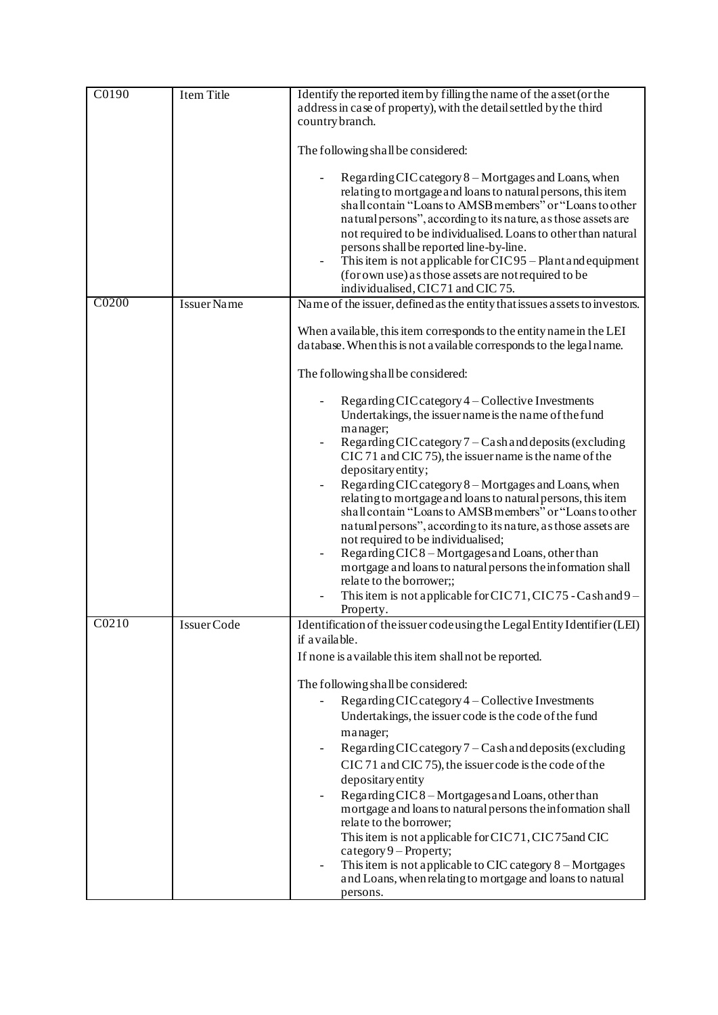| C0190 | <b>Item Title</b>  | Identify the reported item by filling the name of the asset (or the<br>address in case of property), with the detail settled by the third<br>country branch.                                                                                                                                                                                                                                                                                                                                                                                                                                                                                                                                                                                                                               |
|-------|--------------------|--------------------------------------------------------------------------------------------------------------------------------------------------------------------------------------------------------------------------------------------------------------------------------------------------------------------------------------------------------------------------------------------------------------------------------------------------------------------------------------------------------------------------------------------------------------------------------------------------------------------------------------------------------------------------------------------------------------------------------------------------------------------------------------------|
|       |                    | The following shall be considered:                                                                                                                                                                                                                                                                                                                                                                                                                                                                                                                                                                                                                                                                                                                                                         |
|       |                    | Regarding CIC category 8 – Mortgages and Loans, when<br>relating to mortgage and loans to natural persons, this item<br>shall contain "Loans to AMSB members" or "Loans to other<br>natural persons", according to its nature, as those assets are<br>not required to be individualised. Loans to other than natural<br>persons shall be reported line-by-line.<br>This item is not applicable for CIC95 - Plant and equipment<br>(for own use) as those assets are not required to be<br>individualised, CIC71 and CIC75.                                                                                                                                                                                                                                                                 |
| C0200 | <b>Issuer Name</b> | Name of the issuer, defined as the entity that issues assets to investors.                                                                                                                                                                                                                                                                                                                                                                                                                                                                                                                                                                                                                                                                                                                 |
|       |                    | When a vailable, this item corresponds to the entity name in the LEI<br>database. When this is not a vailable corresponds to the legal name.                                                                                                                                                                                                                                                                                                                                                                                                                                                                                                                                                                                                                                               |
|       |                    | The following shall be considered:                                                                                                                                                                                                                                                                                                                                                                                                                                                                                                                                                                                                                                                                                                                                                         |
|       |                    | Regarding CIC category 4 - Collective Investments<br>Undertakings, the issuer name is the name of the fund<br>manager;<br>Regarding CIC category 7 – Cash and deposits (excluding<br>CIC 71 and CIC 75), the issuer name is the name of the<br>depositary entity;<br>Regarding CIC category 8 - Mortgages and Loans, when<br>relating to mortgage and loans to natural persons, this item<br>shall contain "Loans to AMSB members" or "Loans to other<br>natural persons", according to its nature, as those assets are<br>not required to be individualised;<br>Regarding CIC8 - Mortgages and Loans, other than<br>mortgage and loans to natural persons the information shall<br>relate to the borrower;;<br>This item is not applicable for CIC 71, CIC 75 - Cash and 9 –<br>Property. |
| C0210 | Issuer Code        | Identification of the issuer code using the Legal Entity Identifier (LEI)<br>if available.                                                                                                                                                                                                                                                                                                                                                                                                                                                                                                                                                                                                                                                                                                 |
|       |                    | If none is a vailable this item shall not be reported.                                                                                                                                                                                                                                                                                                                                                                                                                                                                                                                                                                                                                                                                                                                                     |
|       |                    | The following shall be considered:                                                                                                                                                                                                                                                                                                                                                                                                                                                                                                                                                                                                                                                                                                                                                         |
|       |                    | Regarding CIC category 4 - Collective Investments<br>Undertakings, the issuer code is the code of the fund<br>manager;<br>Regarding CIC category $7 -$ Cash and deposits (excluding<br>CIC 71 and CIC 75), the issuer code is the code of the<br>depositary entity<br>Regarding CIC8 - Mortgages and Loans, other than<br>mortgage and loans to natural persons the information shall<br>relate to the borrower;<br>This item is not applicable for CIC71, CIC75 and CIC<br>category 9 - Property;<br>This item is not applicable to CIC category $8 -$ Mortgages<br>and Loans, when relating to mortgage and loans to natural<br>persons.                                                                                                                                                 |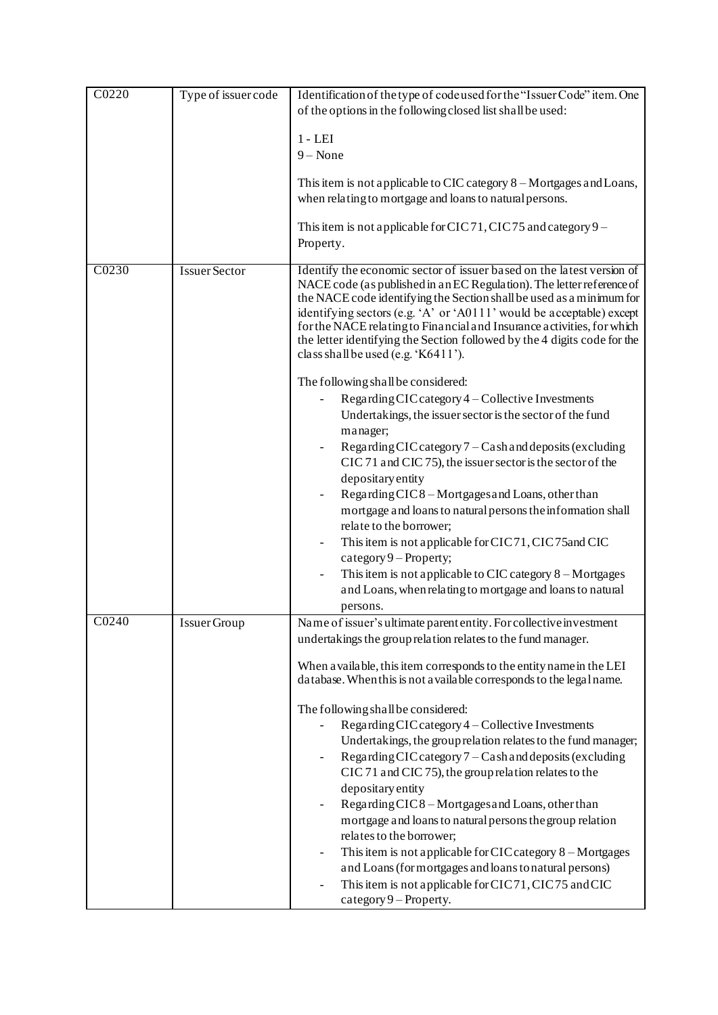| C0220             | Type of issuer code  | Identification of the type of code used for the "Issuer Code" item. One<br>of the options in the following closed list shall be used:                                                                                                                                                                                                                                                                                                                                                                                                                                                                                                                                                                                                                                                    |
|-------------------|----------------------|------------------------------------------------------------------------------------------------------------------------------------------------------------------------------------------------------------------------------------------------------------------------------------------------------------------------------------------------------------------------------------------------------------------------------------------------------------------------------------------------------------------------------------------------------------------------------------------------------------------------------------------------------------------------------------------------------------------------------------------------------------------------------------------|
|                   |                      | $1 - LEI$<br>$9 - None$                                                                                                                                                                                                                                                                                                                                                                                                                                                                                                                                                                                                                                                                                                                                                                  |
|                   |                      | This item is not applicable to CIC category $8 -$ Mortgages and Loans,<br>when relating to mortgage and loans to natural persons.                                                                                                                                                                                                                                                                                                                                                                                                                                                                                                                                                                                                                                                        |
|                   |                      | This item is not applicable for CIC 71, CIC 75 and category $9-$<br>Property.                                                                                                                                                                                                                                                                                                                                                                                                                                                                                                                                                                                                                                                                                                            |
| C0230             | <b>Issuer Sector</b> | Identify the economic sector of issuer based on the latest version of<br>NACE code (as published in an EC Regulation). The letter reference of<br>the NACE code identifying the Section shall be used as a minimum for<br>identifying sectors (e.g. 'A' or 'A0111' would be acceptable) except<br>for the NACE relating to Financial and Insurance activities, for which<br>the letter identifying the Section followed by the 4 digits code for the<br>class shall be used (e.g. 'K6411').<br>The following shall be considered:<br>Regarding CIC category 4 – Collective Investments<br>Undertakings, the issuer sector is the sector of the fund<br>manager;<br>Regarding CIC category 7 – Cash and deposits (excluding<br>CIC 71 and CIC 75), the issuer sector is the sector of the |
|                   |                      | depositary entity<br>Regarding CIC8 - Mortgages and Loans, other than<br>mortgage and loans to natural persons the information shall<br>relate to the borrower;<br>This item is not applicable for CIC71, CIC75 and CIC<br>$\overline{\phantom{a}}$<br>$category 9 - Property;$<br>This item is not applicable to CIC category 8 - Mortgages<br>and Loans, when relating to mortgage and loans to natural<br>persons.                                                                                                                                                                                                                                                                                                                                                                    |
| C <sub>0240</sub> | Issuer Group         | Name of issuer's ultimate parent entity. For collective investment<br>undertakings the group relation relates to the fund manager.<br>When a vailable, this item corresponds to the entity name in the LEI<br>database. When this is not a vailable corresponds to the legal name.                                                                                                                                                                                                                                                                                                                                                                                                                                                                                                       |
|                   |                      | The following shall be considered:<br>Regarding CIC category 4 - Collective Investments<br>Undertakings, the group relation relates to the fund manager;<br>Regarding CIC category $7 -$ Cash and deposits (excluding<br>CIC 71 and CIC 75), the group relation relates to the<br>depositary entity<br>Regarding CIC8 - Mortgages and Loans, other than<br>mortgage and loans to natural persons the group relation<br>relates to the borrower;<br>This item is not applicable for CIC category 8 – Mortgages<br>$\overline{\phantom{a}}$<br>and Loans (for mortgages and loans to natural persons)<br>This item is not applicable for CIC71, CIC75 and CIC<br>$category 9 - Property.$                                                                                                  |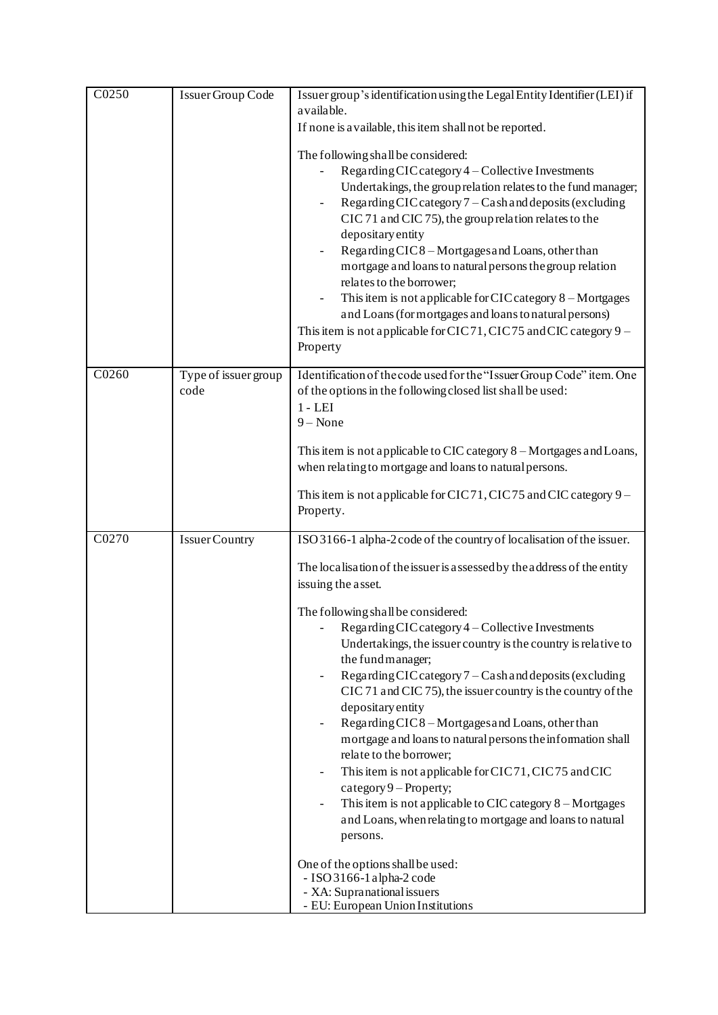| C <sub>0250</sub> | Issuer Group Code            | Issuer group's identification using the Legal Entity Identifier (LEI) if<br>a vailable.<br>If none is a vailable, this item shall not be reported.<br>The following shall be considered:<br>Regarding CIC category 4 - Collective Investments<br>Undertakings, the group relation relates to the fund manager;<br>Regarding CIC category 7 - Cash and deposits (excluding<br>CIC 71 and CIC 75), the group relation relates to the<br>depositary entity<br>Regarding CIC8 - Mortgages and Loans, other than<br>mortgage and loans to natural persons the group relation<br>relates to the borrower;<br>This item is not applicable for CIC category 8 - Mortgages<br>and Loans (for mortgages and loans to natural persons)<br>This item is not applicable for CIC71, CIC75 and CIC category 9 -<br>Property                                                                                                                                                                                                                                               |
|-------------------|------------------------------|------------------------------------------------------------------------------------------------------------------------------------------------------------------------------------------------------------------------------------------------------------------------------------------------------------------------------------------------------------------------------------------------------------------------------------------------------------------------------------------------------------------------------------------------------------------------------------------------------------------------------------------------------------------------------------------------------------------------------------------------------------------------------------------------------------------------------------------------------------------------------------------------------------------------------------------------------------------------------------------------------------------------------------------------------------|
| C0260             | Type of issuer group<br>code | Identification of the code used for the "Issuer Group Code" item. One<br>of the options in the following closed list shall be used:<br>$1 - LEI$<br>$9 - None$<br>This item is not applicable to CIC category 8 – Mortgages and Loans,<br>when relating to mortgage and loans to natural persons.<br>This item is not applicable for CIC71, CIC75 and CIC category 9 –<br>Property.                                                                                                                                                                                                                                                                                                                                                                                                                                                                                                                                                                                                                                                                        |
| C0270             | <b>Issuer Country</b>        | ISO 3166-1 alpha-2 code of the country of localisation of the issuer.<br>The localisation of the issuer is assessed by the address of the entity<br>issuing the asset.<br>The following shall be considered:<br>Regarding CIC category 4 - Collective Investments<br>Undertakings, the issuer country is the country is relative to<br>the fund manager;<br>Regarding CIC category 7 - Cash and deposits (excluding<br>CIC 71 and CIC 75), the issuer country is the country of the<br>depositary entity<br>Regarding CIC8 - Mortgages and Loans, other than<br>$\overline{a}$<br>mortgage and loans to natural persons the information shall<br>relate to the borrower;<br>This item is not applicable for CIC71, CIC75 and CIC<br>$\overline{a}$<br>$category 9 - Property;$<br>This item is not applicable to CIC category 8 - Mortgages<br>and Loans, when relating to mortgage and loans to natural<br>persons.<br>One of the options shall be used:<br>- ISO 3166-1 alpha-2 code<br>- XA: Supranational issuers<br>- EU: European Union Institutions |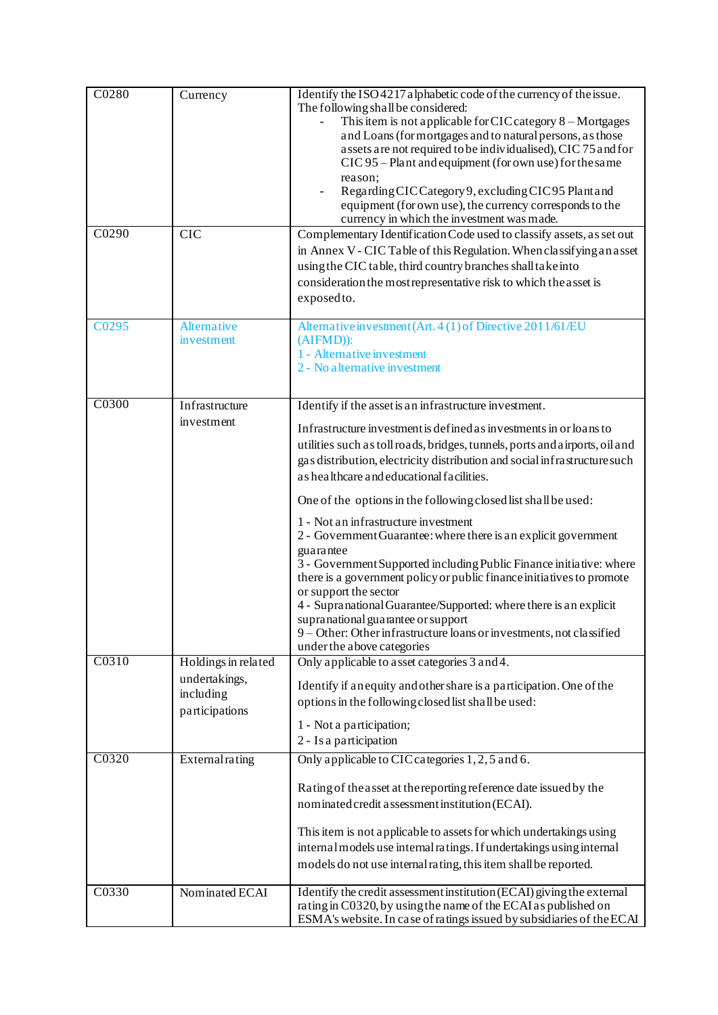| C0280<br>C <sub>0290</sub> | Currency<br><b>CIC</b>                                              | Identify the ISO 4217 alphabetic code of the currency of the issue.<br>The following shall be considered:<br>This item is not applicable for CIC category 8 – Mortgages<br>and Loans (for mortgages and to natural persons, as those<br>assets are not required to be individualised), CIC 75 and for<br>CIC 95 – Plant and equipment (for own use) for the same<br>reason;<br>Regarding CIC Category 9, excluding CIC 95 Plant and<br>equipment (for own use), the currency corresponds to the<br>currency in which the investment was made.<br>Complementary Identification Code used to classify assets, as set out<br>in Annex V - CIC Table of this Regulation. When classifying an asset                                                                                                                                                                                                                            |
|----------------------------|---------------------------------------------------------------------|---------------------------------------------------------------------------------------------------------------------------------------------------------------------------------------------------------------------------------------------------------------------------------------------------------------------------------------------------------------------------------------------------------------------------------------------------------------------------------------------------------------------------------------------------------------------------------------------------------------------------------------------------------------------------------------------------------------------------------------------------------------------------------------------------------------------------------------------------------------------------------------------------------------------------|
|                            |                                                                     | using the CIC table, third country branches shall take into<br>consideration the most representative risk to which the asset is<br>exposed to.                                                                                                                                                                                                                                                                                                                                                                                                                                                                                                                                                                                                                                                                                                                                                                            |
| C0295                      | Alternative<br>investment                                           | Alternative investment (Art. 4 (1) of Directive 2011/61/EU<br>$(AIFMD)$ :<br>1 - Alternative investment<br>2 - No alternative investment                                                                                                                                                                                                                                                                                                                                                                                                                                                                                                                                                                                                                                                                                                                                                                                  |
| C <sub>0300</sub>          | Infrastructure<br>investment                                        | Identify if the asset is an infrastructure investment.<br>Infrastructure investment is defined as investments in or loans to<br>utilities such as toll roads, bridges, tunnels, ports and airports, oil and<br>gas distribution, electricity distribution and social infrastructure such<br>as healthcare and educational facilities.<br>One of the options in the following closed list shall be used:<br>1 - Not an infrastructure investment<br>2 - Government Guarantee: where there is an explicit government<br>guarantee<br>3 - Government Supported including Public Finance initiative: where<br>there is a government policy or public finance initiatives to promote<br>or support the sector<br>4 - Supranational Guarantee/Supported: where there is an explicit<br>supranational guarantee or support<br>9 - Other: Other infrastructure loans or investments, not classified<br>under the above categories |
| C0310                      | Holdings in related<br>undertakings,<br>including<br>participations | Only applicable to asset categories 3 and 4.<br>Identify if an equity and other share is a participation. One of the<br>options in the following closed list shall be used:<br>1 - Not a participation;<br>2 - Is a participation                                                                                                                                                                                                                                                                                                                                                                                                                                                                                                                                                                                                                                                                                         |
| C0320<br>C0330             | External rating                                                     | Only applicable to CIC categories 1, 2, 5 and 6.<br>Rating of the asset at the reporting reference date issued by the<br>nominated credit a ssessment institution (ECAI).<br>This item is not applicable to assets for which undertakings using<br>internal models use internal ratings. If undertakings using internal<br>models do not use internal rating, this item shall be reported.<br>Identify the credit assessment institution (ECAI) giving the external                                                                                                                                                                                                                                                                                                                                                                                                                                                       |
|                            | Nominated ECAI                                                      | rating in C0320, by using the name of the ECAI as published on<br>ESMA's website. In case of ratings issued by subsidiaries of the ECAI                                                                                                                                                                                                                                                                                                                                                                                                                                                                                                                                                                                                                                                                                                                                                                                   |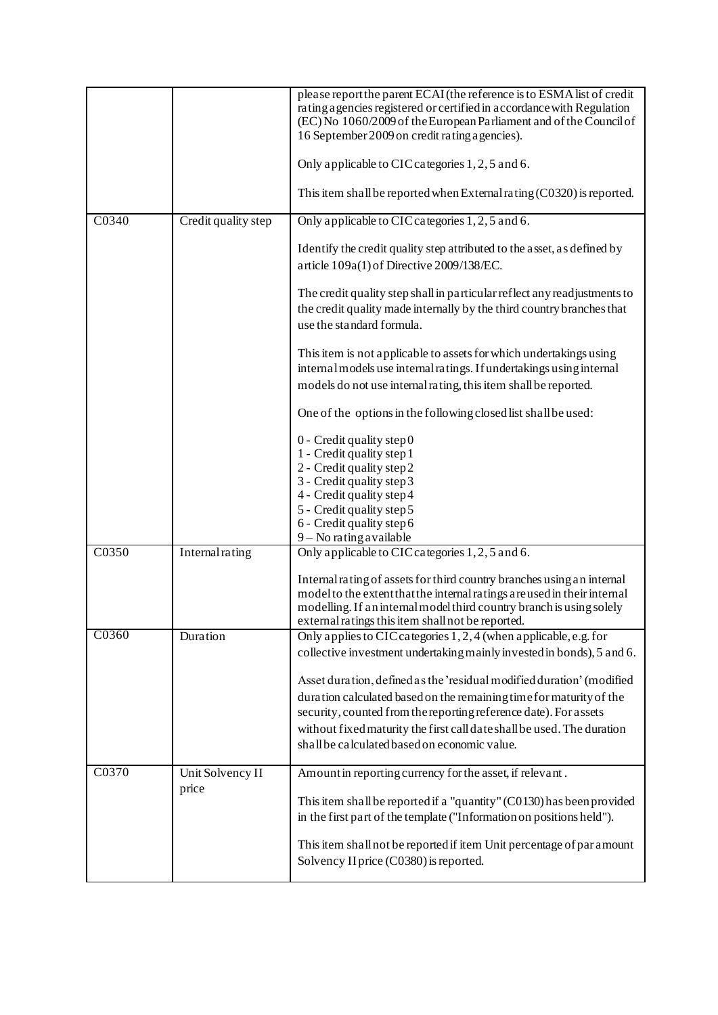|       |                     | please report the parent ECAI (the reference is to ESMA list of credit<br>rating a gencies registered or certified in a ccordance with Regulation<br>(EC) No 1060/2009 of the European Parliament and of the Council of<br>16 September 2009 on credit rating a gencies).<br>Only applicable to CIC categories 1, 2, 5 and 6.<br>This item shall be reported when External rating $(C0320)$ is reported. |
|-------|---------------------|----------------------------------------------------------------------------------------------------------------------------------------------------------------------------------------------------------------------------------------------------------------------------------------------------------------------------------------------------------------------------------------------------------|
| C0340 | Credit quality step | Only applicable to CIC categories 1, 2, 5 and 6.                                                                                                                                                                                                                                                                                                                                                         |
|       |                     | Identify the credit quality step attributed to the asset, as defined by<br>article 109a(1) of Directive 2009/138/EC.                                                                                                                                                                                                                                                                                     |
|       |                     | The credit quality step shall in particular reflect any readjustments to<br>the credit quality made internally by the third country branches that<br>use the standard formula.                                                                                                                                                                                                                           |
|       |                     | This item is not applicable to assets for which undertakings using<br>internal models use internal ratings. If undertakings using internal<br>models do not use internal rating, this item shall be reported.                                                                                                                                                                                            |
|       |                     | One of the options in the following closed list shall be used:                                                                                                                                                                                                                                                                                                                                           |
|       |                     | 0 - Credit quality step 0<br>1 - Credit quality step 1                                                                                                                                                                                                                                                                                                                                                   |
|       |                     | 2 - Credit quality step 2<br>3 - Credit quality step 3                                                                                                                                                                                                                                                                                                                                                   |
|       |                     | 4 - Credit quality step 4<br>5 - Credit quality step 5                                                                                                                                                                                                                                                                                                                                                   |
|       |                     | 6 - Credit quality step 6                                                                                                                                                                                                                                                                                                                                                                                |
| C0350 | Internal rating     | $9 - No$ rating a vailable<br>Only applicable to CIC categories 1, 2, 5 and 6.                                                                                                                                                                                                                                                                                                                           |
|       |                     |                                                                                                                                                                                                                                                                                                                                                                                                          |
|       |                     | Internal rating of assets for third country branches using an internal<br>model to the extent that the internal ratings are used in their internal                                                                                                                                                                                                                                                       |
|       |                     | modelling. If an internal model third country branch is using solely<br>external ratings this item shall not be reported.                                                                                                                                                                                                                                                                                |
| C0360 | Duration            | Only applies to CIC categories 1, 2, 4 (when applicable, e.g. for                                                                                                                                                                                                                                                                                                                                        |
|       |                     | collective investment undertaking mainly invested in bonds), 5 and 6.                                                                                                                                                                                                                                                                                                                                    |
|       |                     | Asset duration, defined as the 'residual modified duration' (modified                                                                                                                                                                                                                                                                                                                                    |
|       |                     | duration calculated based on the remaining time for maturity of the                                                                                                                                                                                                                                                                                                                                      |
|       |                     | security, counted from the reporting reference date). For assets                                                                                                                                                                                                                                                                                                                                         |
|       |                     | without fixed maturity the first call date shall be used. The duration                                                                                                                                                                                                                                                                                                                                   |
|       |                     | shall be calculated based on economic value.                                                                                                                                                                                                                                                                                                                                                             |
| C0370 | Unit Solvency II    | Amount in reporting currency for the asset, if relevant.                                                                                                                                                                                                                                                                                                                                                 |
|       | price               | This item shall be reported if a "quantity" (C0130) has been provided                                                                                                                                                                                                                                                                                                                                    |
|       |                     | in the first part of the template ("Information on positions held").                                                                                                                                                                                                                                                                                                                                     |
|       |                     | This item shall not be reported if item Unit percentage of par a mount                                                                                                                                                                                                                                                                                                                                   |
|       |                     | Solvency II price (C0380) is reported.                                                                                                                                                                                                                                                                                                                                                                   |